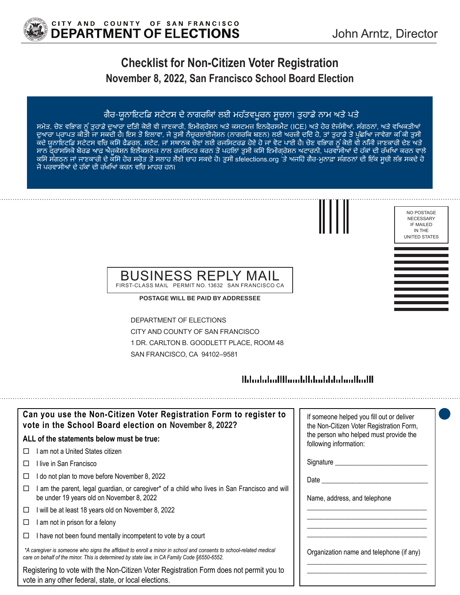

# **Checklist for Non-Citizen Voter Registration November 8, 2022, San Francisco School Board Election**

### ਗੈਰ-ਯੂਨਾਇਟਿਡ ਸਟੇਟਸ ਦੇ ਨਾਗਰਿਕਾਂ ਲਈ ਮਹੱਤਵਪੂਰਨ ਸੂਚਨਾ। ਤੁਹਾਡੇ ਨਾਮ ਅਤੇ ਪਤੇ

ਸਮੇਤ, ਚੋਣ ਵਿਭਾਗ ਨੂੰ ਤੁਹਾਡੇ ਦੁਆਰਾ ਦਿੱਤੀ ਕੋਈ ਵੀ ਜਾਣਕਾਰੀ, ਇਮੀਗ੍ਰੇਸ਼ਨ ਅਤੇ ਕਸਟਮਜ਼ ਇਨਫ਼ੋਰਸਮੈਂਟ (ICE) ਅਤੇ ਹੋਰ ਏਜੰਸੀਆਂ, ਸੰਗਠਨਾਂ, ਅਤੇ ਵਿਅਕਤੀਆਂ ਦੁਆਰਾ ਪ੍ਰਾਪਤ ਕੀਤੀ ਜਾ ਸਕਦੀ ਹੈ। ਇਸ ਤੋਂ ਇਲਾਵਾ, ਜੋ ਤੁਸੀਂ ਨੈਚੂਰਲਾਈਜ਼ੇਸ਼ਨ (ਨਾਗਰੀਕ ਬਣਨ) ਲਈ ਅਰਜ਼ੀ ਦੀਂਦੇ ਹੋ, ਤਾਂ ਤੁਹਾਡੇ ਤੋਂ ਪੁੱਛੀਆ ਜਾਵੇਗਾ ਕੀ ਕੀ ਤੁਸੀ ਕਦੇ ਯੂਨਾਇਟੀਡ ਸਟੇਟਸ ਵੀਚ ਕੀਸੇ ਫੰਡਰਲ, ਸਟੇਟ, ਜਾਂ ਸਥਾਨਕ ਚੋਣਾਂ ਲਈ ਰਜੀਸਟਰਡ ਹੋਏ ਹੋ ਜਾਂ ਵੋਟ ਪਾਈ ਹੈ। ਚੋਣ ਵੀਭਾਗ ਨੂੰ ਕੋਈ ਵੀ ਨੀਜੀ ਜਾਣਕਾਰੀ ਦੇਣ ਅਤੇ ਸਾਨ ਫ਼੍ਰਾਂਸਿਸਕੋ ਬੋਰਡ ਆਫ਼ ਐਜੂਕੇਸ਼ਨ ਇਲੈਕਸ਼ਨਜ਼ ਨਾਲ ਰਜਿਸਟਰ ਕਰਨ ਤੋਂ ਪਹਿਲਾਂ ਤੁਸੀਂ ਕਿਸੇ ਇਮੀਗ੍ਰੇਸ਼ਨ ਅਟਾਰਨੀ, ਪਰਵਾਸੀਆਂ ਦੇ ਹੱਕਾਂ ਦੀ ਰੱਖਿਆ ਕਰਨ ਵਾਲੇ ਕਿਸੇ ਸੰਗਠਨ ਜਾਂ ਜਾਣਕਾਰੀ ਦੇ ਕਿਸੇ ਹੋਰ ਸਰੋਤ ਤੋਂ ਸਲਾਹ ਲੈਣੀ ਚਾਹ ਸਕਦੇ ਹੋ। ਤੁਸੀਂ sfelections.org 'ਤੇ ਅਜਿਹੇ ਗੈਰ-ਮੁਨਾਫ਼ਾ ਸੰਗਠਨਾਂ ਦੀ ਇੱਕ ਸੂਚੀ ਲੱਭ ਸਕਦੇ ਹੋ ਜੋ ਪਰਵਾਸੀਆਂ ਦੇ ਹੱਕਾਂ ਦੀ ਰੱਖਿਆਂ ਕਰਨ ਵਿੱਚ ਮਾਹਰ ਹਨ।



#### NO POSTAGE NECESSARY IF MAILED IN THE UNITED STATES

#### BUSINESS REPLY MAIL FIRST-CLASS MAIL PERMIT NO. 13632 SAN FRANCISCO CA

**POSTAGE WILL BE PAID BY ADDRESSEE**

DEPARTMENT OF ELECTIONS CITY AND COUNTY OF SAN FRANCISCO 1 DR. CARLTON B. GOODLETT PLACE, ROOM 48 SAN FRANCISCO, CA 94102–9581

## 

| Can you use the Non-Citizen Voter Registration Form to register to<br>vote in the School Board election on November 8, 2022?                                                                                      | If someone helped you fill out or deliver<br>the Non-Citizen Voter Registration Form, |
|-------------------------------------------------------------------------------------------------------------------------------------------------------------------------------------------------------------------|---------------------------------------------------------------------------------------|
| ALL of the statements below must be true:                                                                                                                                                                         | the person who helped must provide the<br>following information:                      |
| I am not a United States citizen                                                                                                                                                                                  |                                                                                       |
| l live in San Francisco                                                                                                                                                                                           | Signature _______                                                                     |
| do not plan to move before November 8, 2022                                                                                                                                                                       | Date                                                                                  |
| am the parent, legal guardian, or caregiver* of a child who lives in San Francisco and will<br>⊔<br>be under 19 years old on November 8, 2022                                                                     | Name, address, and telephone                                                          |
| I will be at least 18 years old on November 8, 2022<br>□                                                                                                                                                          |                                                                                       |
| am not in prison for a felony                                                                                                                                                                                     |                                                                                       |
| I have not been found mentally incompetent to vote by a court                                                                                                                                                     |                                                                                       |
| *A caregiver is someone who signs the affidavit to enroll a minor in school and consents to school-related medical<br>care on behalf of the minor. This is determined by state law, in CA Family Code §6550-6552. | Organization name and telephone (if any)                                              |
| Registering to vote with the Non-Citizen Voter Registration Form does not permit you to<br>vote in any other federal, state, or local elections.                                                                  |                                                                                       |